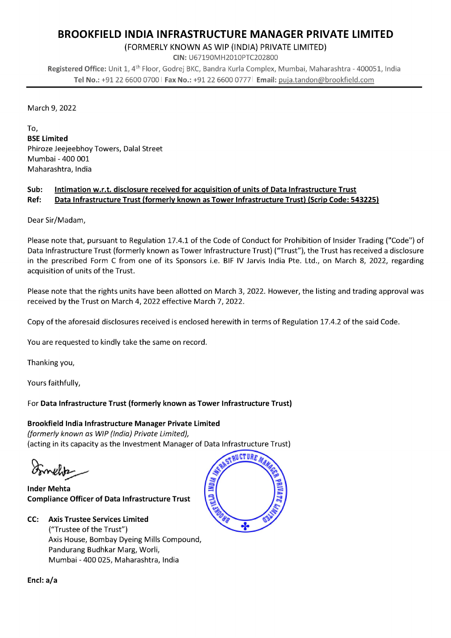## BROOKFIELD INDIA INFRASTRUCTURE MANAGER PRIVATE LIMITED

(FORMERLY KNOWN AS WIP (INDIA) PRIVATE LIMITED)

CIN: U67190MH2010PTC202800

Registered Office: Unit 1, 4<sup>th</sup> Floor, Godrej BKC, Bandra Kurla Complex, Mumbai, Maharashtra - 400051, India Tel No.: +91 22 6600 0700 | Fax No.: +91 22 6600 0777 | Email: puja.tandon@brookfield.com

March 9, 2022

To, BSE Limited Phiroze Jeejeebhoy Towers, Dalai Street Mumbai - 400 001 Maharashtra, India

## Sub: Intimation w.r.t. disclosure received for acquisition of units of Data Infrastructure Trust Ref: Data Infrastructure Trust (formerly known as Tower Infrastructure Trust) (Scrip Code: 543225)

Dear Sir/Madam,

Please note that, pursuant to Regulation 17.4.1 of the Code of Conduct for Prohibition of Insider Trading ("Code") of Data Infrastructure Trust (formerly known as Tower Infrastructure Trust) ("Trust"), the Trust has received a disclosure in the prescribed Form C from one of its Sponsors i.e. BIF IV Jarvis India Pte. Ltd., on March 8, 2022, regarding acquisition of units of the Trust.

Please note that the rights units have been allotted on March 3, 2022. However, the listing and trading approval was received by the Trust on March 4, 2022 effective March 7, 2022.

Copy of the aforesaid disclosures received is enclosed herewith in terms of Regulation 17.4.2 of the said Code.

You are requested to kindly take the same on record.

Thanking you,

Yours faithfully,

## For Data Infrastructure Trust (formerly known as Tower Infrastructure Trust)

Brookfield India Infrastructure Manager Private Limited (formerly known as WIP (India) Private Limited), (acting in its capacity as the Investment Manager of Data Infrastructure Trust)

Inder Mehta Compliance Officer of Data Infrastructure Trust





Encl: a/a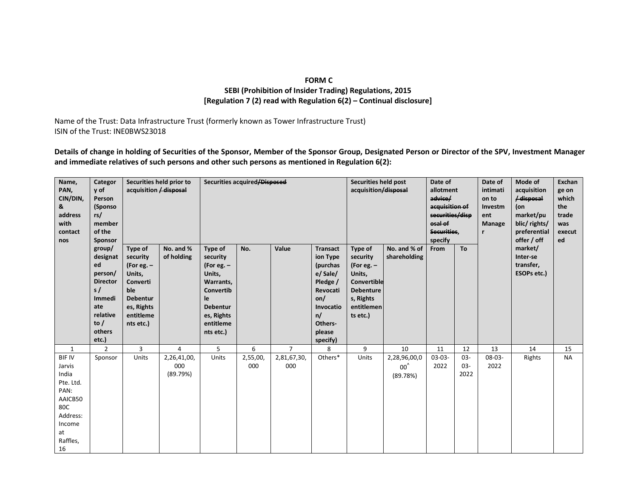## **FORM C SEBI (Prohibition of Insider Trading) Regulations, 2015 [Regulation 7 (2) read with Regulation 6(2) – Continual disclosure]**

Name of the Trust: Data Infrastructure Trust (formerly known as Tower Infrastructure Trust) ISIN of the Trust: INE0BWS23018

**Details of change in holding of Securities of the Sponsor, Member of the Sponsor Group, Designated Person or Director of the SPV, Investment Manager and immediate relatives of such persons and other such persons as mentioned in Regulation 6(2):** 

| Name,<br>PAN,<br>CIN/DIN,<br>&<br>address<br>with<br>contact<br>nos                                                   | Categor<br>y of<br>Person<br>(Sponso<br>rs/<br>member<br>of the<br>Sponsor                                                              | Securities held prior to<br>acquisition / disposal                                                         |                                | Securities acquired/Disposed                                                                                                             |                 |                    |                                                                                                                                        | <b>Securities held post</b><br>acquisition/disposal                                                                     |                                          | Date of<br>allotment<br>advice/<br>acquisition of<br>securities/disp<br>osal of<br>Securities,<br>specify |                       | Date of<br>intimati<br>on to<br>Investm<br>ent<br>Manage<br>r | Mode of<br>acquisition<br>/ disposal<br>(on<br>market/pu<br>blic/rights/<br>preferential<br>offer / off | Exchan<br>ge on<br>which<br>the<br>trade<br>was<br>execut<br>ed |
|-----------------------------------------------------------------------------------------------------------------------|-----------------------------------------------------------------------------------------------------------------------------------------|------------------------------------------------------------------------------------------------------------|--------------------------------|------------------------------------------------------------------------------------------------------------------------------------------|-----------------|--------------------|----------------------------------------------------------------------------------------------------------------------------------------|-------------------------------------------------------------------------------------------------------------------------|------------------------------------------|-----------------------------------------------------------------------------------------------------------|-----------------------|---------------------------------------------------------------|---------------------------------------------------------------------------------------------------------|-----------------------------------------------------------------|
|                                                                                                                       | group/<br>designat<br>ed<br>Units,<br>person/<br><b>Director</b><br>s/<br>ble<br>Immedi<br>ate<br>relative<br>to $/$<br>others<br>etc.) | Type of<br>security<br>(For eg. $-$<br>Converti<br><b>Debentur</b><br>es, Rights<br>entitleme<br>nts etc.) | No. and %<br>of holding        | Type of<br>security<br>(For eg. $-$<br>Units,<br>Warrants,<br>Convertib<br>le<br><b>Debentur</b><br>es, Rights<br>entitleme<br>nts etc.) | No.             | Value              | <b>Transact</b><br>ion Type<br>(purchas<br>e/ Sale/<br>Pledge /<br>Revocati<br>on/<br>Invocatio<br>n/<br>Others-<br>please<br>specify) | Type of<br>security<br>(For eg. $-$<br>Units,<br>Convertible<br><b>Debenture</b><br>s, Rights<br>entitlemen<br>ts etc.) | No. and % of<br>shareholding             | From                                                                                                      | To                    |                                                               | market/<br>Inter-se<br>transfer,<br>ESOPs etc.)                                                         |                                                                 |
| $\mathbf{1}$                                                                                                          | $\mathfrak{p}$                                                                                                                          | $\overline{3}$                                                                                             | $\overline{a}$                 | 5                                                                                                                                        | 6               | $\overline{7}$     | 8                                                                                                                                      | 9                                                                                                                       | 10                                       | 11                                                                                                        | 12                    | 13                                                            | 14                                                                                                      | 15                                                              |
| <b>BIF IV</b><br>Jarvis<br>India<br>Pte. Ltd.<br>PAN:<br>AAICB50<br>80C<br>Address:<br>Income<br>at<br>Raffles,<br>16 | Sponsor                                                                                                                                 | Units                                                                                                      | 2,26,41,00,<br>000<br>(89.79%) | Units                                                                                                                                    | 2,55,00,<br>000 | 2,81,67,30,<br>000 | Others*                                                                                                                                | Units                                                                                                                   | 2,28,96,00,0<br>$00^{\circ}$<br>(89.78%) | $03-03-$<br>2022                                                                                          | 03-<br>$03 -$<br>2022 | 08-03-<br>2022                                                | Rights                                                                                                  | <b>NA</b>                                                       |